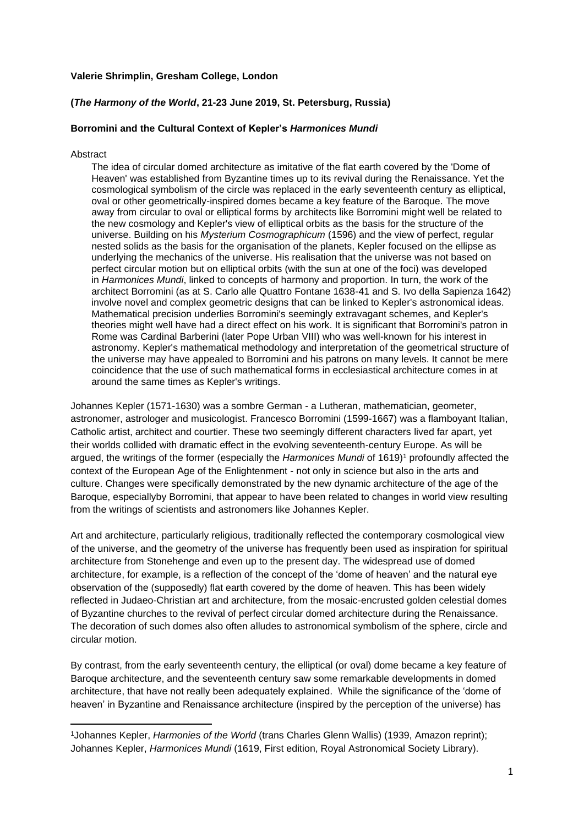## **Valerie Shrimplin, Gresham College, London**

# **(***The Harmony of the World***, 21-23 June 2019, St. Petersburg, Russia)**

## **Borromini and the Cultural Context of Kepler's** *Harmonices Mundi*

#### Abstract

The idea of circular domed architecture as imitative of the flat earth covered by the 'Dome of Heaven' was established from Byzantine times up to its revival during the Renaissance. Yet the cosmological symbolism of the circle was replaced in the early seventeenth century as elliptical, oval or other geometrically-inspired domes became a key feature of the Baroque. The move away from circular to oval or elliptical forms by architects like Borromini might well be related to the new cosmology and Kepler's view of elliptical orbits as the basis for the structure of the universe. Building on his *Mysterium Cosmographicum* (1596) and the view of perfect, regular nested solids as the basis for the organisation of the planets, Kepler focused on the ellipse as underlying the mechanics of the universe. His realisation that the universe was not based on perfect circular motion but on elliptical orbits (with the sun at one of the foci) was developed in *Harmonices Mundi*, linked to concepts of harmony and proportion. In turn, the work of the architect Borromini (as at S. Carlo alle Quattro Fontane 1638-41 and S. Ivo della Sapienza 1642) involve novel and complex geometric designs that can be linked to Kepler's astronomical ideas. Mathematical precision underlies Borromini's seemingly extravagant schemes, and Kepler's theories might well have had a direct effect on his work. It is significant that Borromini's patron in Rome was Cardinal Barberini (later Pope Urban VIII) who was well-known for his interest in astronomy. Kepler's mathematical methodology and interpretation of the geometrical structure of the universe may have appealed to Borromini and his patrons on many levels. It cannot be mere coincidence that the use of such mathematical forms in ecclesiastical architecture comes in at around the same times as Kepler's writings.

Johannes Kepler (1571-1630) was a sombre German - a Lutheran, mathematician, geometer, astronomer, astrologer and musicologist. Francesco Borromini (1599-1667) was a flamboyant Italian, Catholic artist, architect and courtier. These two seemingly different characters lived far apart, yet their worlds collided with dramatic effect in the evolving seventeenth-century Europe. As will be argued, the writings of the former (especially the *Harmonices Mundi* of 1619)<sup>1</sup> profoundly affected the context of the European Age of the Enlightenment - not only in science but also in the arts and culture. Changes were specifically demonstrated by the new dynamic architecture of the age of the Baroque, especiallyby Borromini, that appear to have been related to changes in world view resulting from the writings of scientists and astronomers like Johannes Kepler.

Art and architecture, particularly religious, traditionally reflected the contemporary cosmological view of the universe, and the geometry of the universe has frequently been used as inspiration for spiritual architecture from Stonehenge and even up to the present day. The widespread use of domed architecture, for example, is a reflection of the concept of the 'dome of heaven' and the natural eye observation of the (supposedly) flat earth covered by the dome of heaven. This has been widely reflected in Judaeo-Christian art and architecture, from the mosaic-encrusted golden celestial domes of Byzantine churches to the revival of perfect circular domed architecture during the Renaissance. The decoration of such domes also often alludes to astronomical symbolism of the sphere, circle and circular motion.

By contrast, from the early seventeenth century, the elliptical (or oval) dome became a key feature of Baroque architecture, and the seventeenth century saw some remarkable developments in domed architecture, that have not really been adequately explained. While the significance of the 'dome of heaven' in Byzantine and Renaissance architecture (inspired by the perception of the universe) has

<sup>1</sup>Johannes Kepler, *Harmonies of the World* (trans Charles Glenn Wallis) (1939, Amazon reprint); Johannes Kepler, *Harmonices Mundi* (1619, First edition, Royal Astronomical Society Library).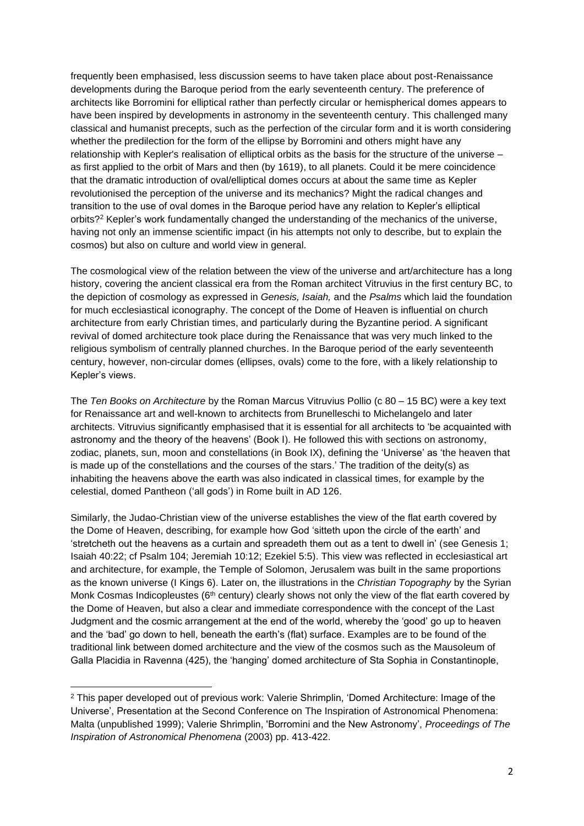frequently been emphasised, less discussion seems to have taken place about post-Renaissance developments during the Baroque period from the early seventeenth century. The preference of architects like Borromini for elliptical rather than perfectly circular or hemispherical domes appears to have been inspired by developments in astronomy in the seventeenth century. This challenged many classical and humanist precepts, such as the perfection of the circular form and it is worth considering whether the predilection for the form of the ellipse by Borromini and others might have any relationship with Kepler's realisation of elliptical orbits as the basis for the structure of the universe – as first applied to the orbit of Mars and then (by 1619), to all planets. Could it be mere coincidence that the dramatic introduction of oval/elliptical domes occurs at about the same time as Kepler revolutionised the perception of the universe and its mechanics? Might the radical changes and transition to the use of oval domes in the Baroque period have any relation to Kepler's elliptical orbits?<sup>2</sup> Kepler's work fundamentally changed the understanding of the mechanics of the universe, having not only an immense scientific impact (in his attempts not only to describe, but to explain the cosmos) but also on culture and world view in general.

The cosmological view of the relation between the view of the universe and art/architecture has a long history, covering the ancient classical era from the Roman architect Vitruvius in the first century BC, to the depiction of cosmology as expressed in *Genesis, Isaiah,* and the *Psalms* which laid the foundation for much ecclesiastical iconography. The concept of the Dome of Heaven is influential on church architecture from early Christian times, and particularly during the Byzantine period. A significant revival of domed architecture took place during the Renaissance that was very much linked to the religious symbolism of centrally planned churches. In the Baroque period of the early seventeenth century, however, non-circular domes (ellipses, ovals) come to the fore, with a likely relationship to Kepler's views.

The *Ten Books on Architecture* by the Roman Marcus Vitruvius Pollio (c 80 – 15 BC) were a key text for Renaissance art and well-known to architects from Brunelleschi to Michelangelo and later architects. Vitruvius significantly emphasised that it is essential for all architects to 'be acquainted with astronomy and the theory of the heavens' (Book I). He followed this with sections on astronomy, zodiac, planets, sun, moon and constellations (in Book IX), defining the 'Universe' as 'the heaven that is made up of the constellations and the courses of the stars.' The tradition of the deity(s) as inhabiting the heavens above the earth was also indicated in classical times, for example by the celestial, domed Pantheon ('all gods') in Rome built in AD 126.

Similarly, the Judao-Christian view of the universe establishes the view of the flat earth covered by the Dome of Heaven, describing, for example how God 'sitteth upon the circle of the earth' and 'stretcheth out the heavens as a curtain and spreadeth them out as a tent to dwell in' (see Genesis 1; Isaiah 40:22; cf Psalm 104; Jeremiah 10:12; Ezekiel 5:5). This view was reflected in ecclesiastical art and architecture, for example, the Temple of Solomon, Jerusalem was built in the same proportions as the known universe (I Kings 6). Later on, the illustrations in the *Christian Topography* by the Syrian Monk Cosmas Indicopleustes ( $6<sup>th</sup>$  century) clearly shows not only the view of the flat earth covered by the Dome of Heaven, but also a clear and immediate correspondence with the concept of the Last Judgment and the cosmic arrangement at the end of the world, whereby the 'good' go up to heaven and the 'bad' go down to hell, beneath the earth's (flat) surface. Examples are to be found of the traditional link between domed architecture and the view of the cosmos such as the Mausoleum of Galla Placidia in Ravenna (425), the 'hanging' domed architecture of Sta Sophia in Constantinople,

<sup>2</sup> This paper developed out of previous work: Valerie Shrimplin, 'Domed Architecture: Image of the Universe', Presentation at the Second Conference on The Inspiration of Astronomical Phenomena: Malta (unpublished 1999); Valerie Shrimplin, 'Borromini and the New Astronomy', *Proceedings of The Inspiration of Astronomical Phenomena* (2003) pp. 413-422.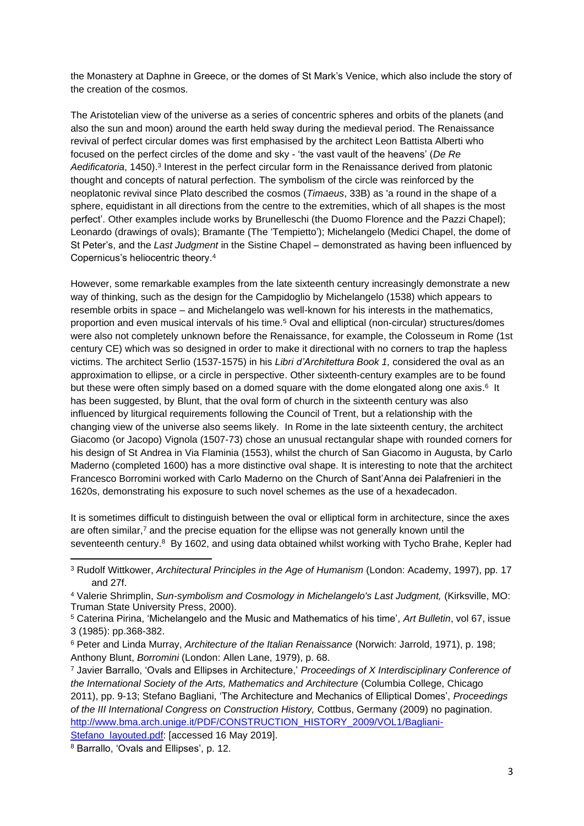the Monastery at Daphne in Greece, or the domes of St Mark's Venice, which also include the story of the creation of the cosmos.

The Aristotelian view of the universe as a series of concentric spheres and orbits of the planets (and also the sun and moon) around the earth held sway during the medieval period. The Renaissance revival of perfect circular domes was first emphasised by the architect Leon Battista Alberti who focused on the perfect circles of the dome and sky - 'the vast vault of the heavens' (*De Re*  Aedificatoria, 1450).<sup>3</sup> Interest in the perfect circular form in the Renaissance derived from platonic thought and concepts of natural perfection. The symbolism of the circle was reinforced by the neoplatonic revival since Plato described the cosmos (*Timaeus*, 33B) as 'a round in the shape of a sphere, equidistant in all directions from the centre to the extremities, which of all shapes is the most perfect'. Other examples include works by Brunelleschi (the Duomo Florence and the Pazzi Chapel); Leonardo (drawings of ovals); Bramante (The 'Tempietto'); Michelangelo (Medici Chapel, the dome of St Peter's, and the *Last Judgment* in the Sistine Chapel – demonstrated as having been influenced by Copernicus's heliocentric theory.<sup>4</sup>

However, some remarkable examples from the late sixteenth century increasingly demonstrate a new way of thinking, such as the design for the Campidoglio by Michelangelo (1538) which appears to resemble orbits in space – and Michelangelo was well-known for his interests in the mathematics, proportion and even musical intervals of his time.<sup>5</sup> Oval and elliptical (non-circular) structures/domes were also not completely unknown before the Renaissance, for example, the Colosseum in Rome (1st century CE) which was so designed in order to make it directional with no corners to trap the hapless victims. The architect Serlio (1537-1575) in his *Libri d'Architettura Book 1,* considered the oval as an approximation to ellipse, or a circle in perspective. Other sixteenth-century examples are to be found but these were often simply based on a domed square with the dome elongated along one axis.<sup>6</sup> It has been suggested, by Blunt, that the oval form of church in the sixteenth century was also influenced by liturgical requirements following the Council of Trent, but a relationship with the changing view of the universe also seems likely. In Rome in the late sixteenth century, the architect Giacomo (or Jacopo) Vignola (1507-73) chose an unusual rectangular shape with rounded corners for his design of St Andrea in Via Flaminia (1553), whilst the church of San Giacomo in Augusta, by Carlo Maderno (completed 1600) has a more distinctive oval shape. It is interesting to note that the architect Francesco Borromini worked with Carlo Maderno on the Church of Sant'Anna dei Palafrenieri in the 1620s, demonstrating his exposure to such novel schemes as the use of a hexadecadon.

It is sometimes difficult to distinguish between the oval or elliptical form in architecture, since the axes are often similar,7 and the precise equation for the ellipse was not generally known until the seventeenth century.<sup>8</sup> By 1602, and using data obtained whilst working with Tycho Brahe, Kepler had

<sup>3</sup> Rudolf Wittkower, *Architectural Principles in the Age of Humanism* (London: Academy, 1997), pp. 17 and 27f.

<sup>4</sup> Valerie Shrimplin, *Sun-symbolism and Cosmology in Michelangelo's Last Judgment,* (Kirksville, MO: Truman State University Press, 2000).

<sup>5</sup> Caterina Pirina, 'Michelangelo and the Music and Mathematics of his time', *Art Bulletin*, vol 67, issue 3 (1985): pp.368-382.

<sup>6</sup> Peter and Linda Murray, *Architecture of the Italian Renaissance* (Norwich: Jarrold, 1971), p. 198; Anthony Blunt, *Borromini* (London: Allen Lane, 1979), p. 68.

<sup>7</sup> Javier Barrallo, 'Ovals and Ellipses in Architecture,' *Proceedings of X Interdisciplinary Conference of the International Society of the Arts, Mathematics and Architecture* (Columbia College, Chicago 2011), pp. 9-13; Stefano Bagliani, 'The Architecture and Mechanics of Elliptical Domes', *Proceedings of the III International Congress on Construction History,* Cottbus, Germany (2009) no pagination. [http://www.bma.arch.unige.it/PDF/CONSTRUCTION\\_HISTORY\\_2009/VOL1/Bagliani-](http://www.bma.arch.unige.it/PDF/CONSTRUCTION_HISTORY_2009/VOL1/Bagliani-Stefano_layouted.pdf)[Stefano\\_layouted.pdf:](http://www.bma.arch.unige.it/PDF/CONSTRUCTION_HISTORY_2009/VOL1/Bagliani-Stefano_layouted.pdf) [accessed 16 May 2019].

<sup>8</sup> Barrallo, 'Ovals and Ellipses', p. 12.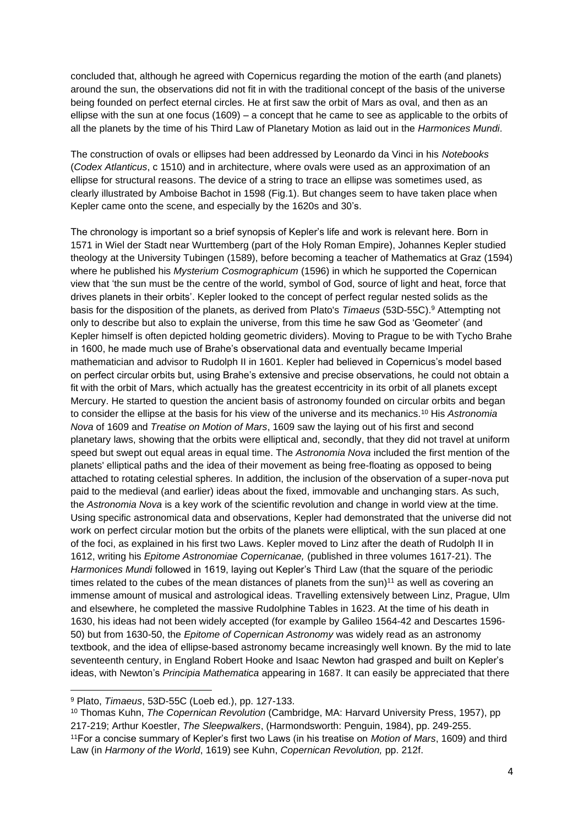concluded that, although he agreed with Copernicus regarding the motion of the earth (and planets) around the sun, the observations did not fit in with the traditional concept of the basis of the universe being founded on perfect eternal circles. He at first saw the orbit of Mars as oval, and then as an ellipse with the sun at one focus (1609) – a concept that he came to see as applicable to the orbits of all the planets by the time of his Third Law of Planetary Motion as laid out in the *Harmonices Mundi*.

The construction of ovals or ellipses had been addressed by Leonardo da Vinci in his *Notebooks* (*Codex Atlanticus*, c 1510) and in architecture, where ovals were used as an approximation of an ellipse for structural reasons. The device of a string to trace an ellipse was sometimes used, as clearly illustrated by Amboise Bachot in 1598 (Fig.1). But changes seem to have taken place when Kepler came onto the scene, and especially by the 1620s and 30's.

The chronology is important so a brief synopsis of Kepler's life and work is relevant here. Born in 1571 in Wiel der Stadt near Wurttemberg (part of the Holy Roman Empire), Johannes Kepler studied theology at the University Tubingen (1589), before becoming a teacher of Mathematics at Graz (1594) where he published his *Mysterium Cosmographicum* (1596) in which he supported the Copernican view that 'the sun must be the centre of the world, symbol of God, source of light and heat, force that drives planets in their orbits'. Kepler looked to the concept of perfect regular nested solids as the basis for the disposition of the planets, as derived from Plato's *Timaeus* (53D-55C).<sup>9</sup> Attempting not only to describe but also to explain the universe, from this time he saw God as 'Geometer' (and Kepler himself is often depicted holding geometric dividers). Moving to Prague to be with Tycho Brahe in 1600, he made much use of Brahe's observational data and eventually became Imperial mathematician and advisor to Rudolph II in 1601. Kepler had believed in Copernicus's model based on perfect circular orbits but, using Brahe's extensive and precise observations, he could not obtain a fit with the orbit of Mars, which actually has the greatest eccentricity in its orbit of all planets except Mercury. He started to question the ancient basis of astronomy founded on circular orbits and began to consider the ellipse at the basis for his view of the universe and its mechanics.<sup>10</sup> His *Astronomia Nova* of 1609 and *Treatise on Motion of Mars*, 1609 saw the laying out of his first and second planetary laws, showing that the orbits were elliptical and, secondly, that they did not travel at uniform speed but swept out equal areas in equal time. The *Astronomia Nova* included the first mention of the planets' elliptical paths and the idea of their movement as being free-floating as opposed to being attached to rotating celestial spheres. In addition, the inclusion of the observation of a super-nova put paid to the medieval (and earlier) ideas about the fixed, immovable and unchanging stars. As such, the *Astronomia Nova* is a key work of the scientific revolution and change in world view at the time. Using specific astronomical data and observations, Kepler had demonstrated that the universe did not work on perfect circular motion but the orbits of the planets were elliptical, with the sun placed at one of the foci, as explained in his first two Laws. Kepler moved to Linz after the death of Rudolph II in 1612, writing his *Epitome Astronomiae Copernicanae,* (published in three volumes 1617-21). The *Harmonices Mundi* followed in 1619, laying out Kepler's Third Law (that the square of the periodic times related to the cubes of the mean distances of planets from the sun)<sup>11</sup> as well as covering an immense amount of musical and astrological ideas. Travelling extensively between Linz, Prague, Ulm and elsewhere, he completed the massive Rudolphine Tables in 1623. At the time of his death in 1630, his ideas had not been widely accepted (for example by Galileo 1564-42 and Descartes 1596- 50) but from 1630-50, the *Epitome of Copernican Astronomy* was widely read as an astronomy textbook, and the idea of ellipse-based astronomy became increasingly well known. By the mid to late seventeenth century, in England Robert Hooke and Isaac Newton had grasped and built on Kepler's ideas, with Newton's *Principia Mathematica* appearing in 1687. It can easily be appreciated that there

<sup>9</sup> Plato, *Timaeus*, 53D-55C (Loeb ed.), pp. 127-133.

<sup>10</sup> Thomas Kuhn, *The Copernican Revolution* (Cambridge, MA: Harvard University Press, 1957), pp 217-219; Arthur Koestler, *The Sleepwalkers*, (Harmondsworth: Penguin, 1984), pp. 249-255. <sup>11</sup>For a concise summary of Kepler's first two Laws (in his treatise on *Motion of Mars*, 1609) and third Law (in *Harmony of the World*, 1619) see Kuhn, *Copernican Revolution,* pp. 212f.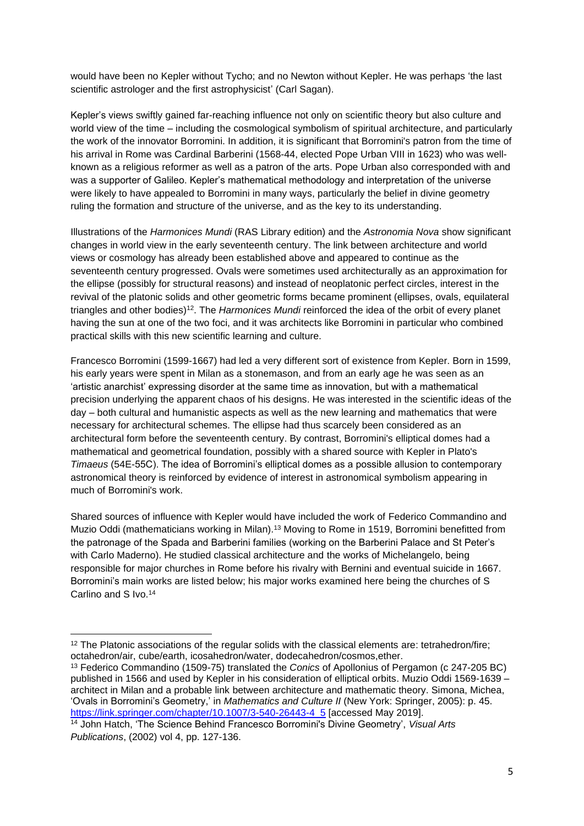would have been no Kepler without Tycho; and no Newton without Kepler. He was perhaps 'the last scientific astrologer and the first astrophysicist' (Carl Sagan).

Kepler's views swiftly gained far-reaching influence not only on scientific theory but also culture and world view of the time – including the cosmological symbolism of spiritual architecture, and particularly the work of the innovator Borromini. In addition, it is significant that Borromini's patron from the time of his arrival in Rome was Cardinal Barberini (1568-44, elected Pope Urban VIII in 1623) who was wellknown as a religious reformer as well as a patron of the arts. Pope Urban also corresponded with and was a supporter of Galileo. Kepler's mathematical methodology and interpretation of the universe were likely to have appealed to Borromini in many ways, particularly the belief in divine geometry ruling the formation and structure of the universe, and as the key to its understanding.

Illustrations of the *Harmonices Mundi* (RAS Library edition) and the *Astronomia Nova* show significant changes in world view in the early seventeenth century. The link between architecture and world views or cosmology has already been established above and appeared to continue as the seventeenth century progressed. Ovals were sometimes used architecturally as an approximation for the ellipse (possibly for structural reasons) and instead of neoplatonic perfect circles, interest in the revival of the platonic solids and other geometric forms became prominent (ellipses, ovals, equilateral triangles and other bodies) <sup>12</sup>. The *Harmonices Mundi* reinforced the idea of the orbit of every planet having the sun at one of the two foci, and it was architects like Borromini in particular who combined practical skills with this new scientific learning and culture.

Francesco Borromini (1599-1667) had led a very different sort of existence from Kepler. Born in 1599, his early years were spent in Milan as a stonemason, and from an early age he was seen as an 'artistic anarchist' expressing disorder at the same time as innovation, but with a mathematical precision underlying the apparent chaos of his designs. He was interested in the scientific ideas of the day – both cultural and humanistic aspects as well as the new learning and mathematics that were necessary for architectural schemes. The ellipse had thus scarcely been considered as an architectural form before the seventeenth century. By contrast, Borromini's elliptical domes had a mathematical and geometrical foundation, possibly with a shared source with Kepler in Plato's *Timaeus* (54E-55C). The idea of Borromini's elliptical domes as a possible allusion to contemporary astronomical theory is reinforced by evidence of interest in astronomical symbolism appearing in much of Borromini's work.

Shared sources of influence with Kepler would have included the work of Federico Commandino and Muzio Oddi (mathematicians working in Milan).<sup>13</sup> Moving to Rome in 1519, Borromini benefitted from the patronage of the Spada and Barberini families (working on the Barberini Palace and St Peter's with Carlo Maderno). He studied classical architecture and the works of Michelangelo, being responsible for major churches in Rome before his rivalry with Bernini and eventual suicide in 1667. Borromini's main works are listed below; his major works examined here being the churches of S Carlino and S Ivo. 14

 $12$  The Platonic associations of the regular solids with the classical elements are: tetrahedron/fire; octahedron/air, cube/earth, icosahedron/water, dodecahedron/cosmos,ether.

<sup>13</sup> Federico Commandino (1509-75) translated the *Conics* of Apollonius of Pergamon (c 247-205 BC) published in 1566 and used by Kepler in his consideration of elliptical orbits. Muzio Oddi 1569-1639 – architect in Milan and a probable link between architecture and mathematic theory. Simona, Michea, 'Ovals in Borromini's Geometry,' in *Mathematics and Culture II* (New York: Springer, 2005): p. 45. [https://link.springer.com/chapter/10.1007/3-540-26443-4\\_5](https://link.springer.com/chapter/10.1007/3-540-26443-4_5) [accessed May 2019].

<sup>14</sup> John Hatch, 'The Science Behind Francesco Borromini's Divine Geometry', *Visual Arts Publications*, (2002) vol 4, pp. 127-136.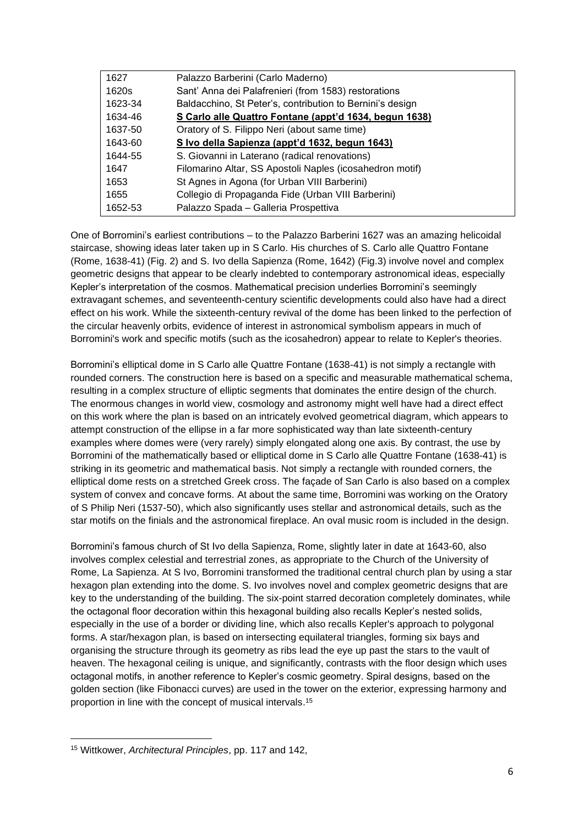| 1627    | Palazzo Barberini (Carlo Maderno)                         |
|---------|-----------------------------------------------------------|
| 1620s   | Sant' Anna dei Palafrenieri (from 1583) restorations      |
| 1623-34 | Baldacchino, St Peter's, contribution to Bernini's design |
| 1634-46 | S Carlo alle Quattro Fontane (appt'd 1634, begun 1638)    |
| 1637-50 | Oratory of S. Filippo Neri (about same time)              |
| 1643-60 | S Ivo della Sapienza (appt'd 1632, begun 1643)            |
| 1644-55 | S. Giovanni in Laterano (radical renovations)             |
| 1647    | Filomarino Altar, SS Apostoli Naples (icosahedron motif)  |
| 1653    | St Agnes in Agona (for Urban VIII Barberini)              |
| 1655    | Collegio di Propaganda Fide (Urban VIII Barberini)        |
| 1652-53 | Palazzo Spada - Galleria Prospettiva                      |

One of Borromini's earliest contributions – to the Palazzo Barberini 1627 was an amazing helicoidal staircase, showing ideas later taken up in S Carlo. His churches of S. Carlo alle Quattro Fontane (Rome, 1638-41) (Fig. 2) and S. Ivo della Sapienza (Rome, 1642) (Fig.3) involve novel and complex geometric designs that appear to be clearly indebted to contemporary astronomical ideas, especially Kepler's interpretation of the cosmos. Mathematical precision underlies Borromini's seemingly extravagant schemes, and seventeenth-century scientific developments could also have had a direct effect on his work. While the sixteenth-century revival of the dome has been linked to the perfection of the circular heavenly orbits, evidence of interest in astronomical symbolism appears in much of Borromini's work and specific motifs (such as the icosahedron) appear to relate to Kepler's theories.

Borromini's elliptical dome in S Carlo alle Quattre Fontane (1638-41) is not simply a rectangle with rounded corners. The construction here is based on a specific and measurable mathematical schema, resulting in a complex structure of elliptic segments that dominates the entire design of the church. The enormous changes in world view, cosmology and astronomy might well have had a direct effect on this work where the plan is based on an intricately evolved geometrical diagram, which appears to attempt construction of the ellipse in a far more sophisticated way than late sixteenth-century examples where domes were (very rarely) simply elongated along one axis. By contrast, the use by Borromini of the mathematically based or elliptical dome in S Carlo alle Quattre Fontane (1638-41) is striking in its geometric and mathematical basis. Not simply a rectangle with rounded corners, the elliptical dome rests on a stretched Greek cross. The façade of San Carlo is also based on a complex system of convex and concave forms. At about the same time, Borromini was working on the Oratory of S Philip Neri (1537-50), which also significantly uses stellar and astronomical details, such as the star motifs on the finials and the astronomical fireplace. An oval music room is included in the design.

Borromini's famous church of St Ivo della Sapienza, Rome, slightly later in date at 1643-60, also involves complex celestial and terrestrial zones, as appropriate to the Church of the University of Rome, La Sapienza. At S Ivo, Borromini transformed the traditional central church plan by using a star hexagon plan extending into the dome. S. Ivo involves novel and complex geometric designs that are key to the understanding of the building. The six-point starred decoration completely dominates, while the octagonal floor decoration within this hexagonal building also recalls Kepler's nested solids, especially in the use of a border or dividing line, which also recalls Kepler's approach to polygonal forms. A star/hexagon plan, is based on intersecting equilateral triangles, forming six bays and organising the structure through its geometry as ribs lead the eye up past the stars to the vault of heaven. The hexagonal ceiling is unique, and significantly, contrasts with the floor design which uses octagonal motifs, in another reference to Kepler's cosmic geometry. Spiral designs, based on the golden section (like Fibonacci curves) are used in the tower on the exterior, expressing harmony and proportion in line with the concept of musical intervals. 15

<sup>15</sup> Wittkower, *Architectural Principles*, pp. 117 and 142,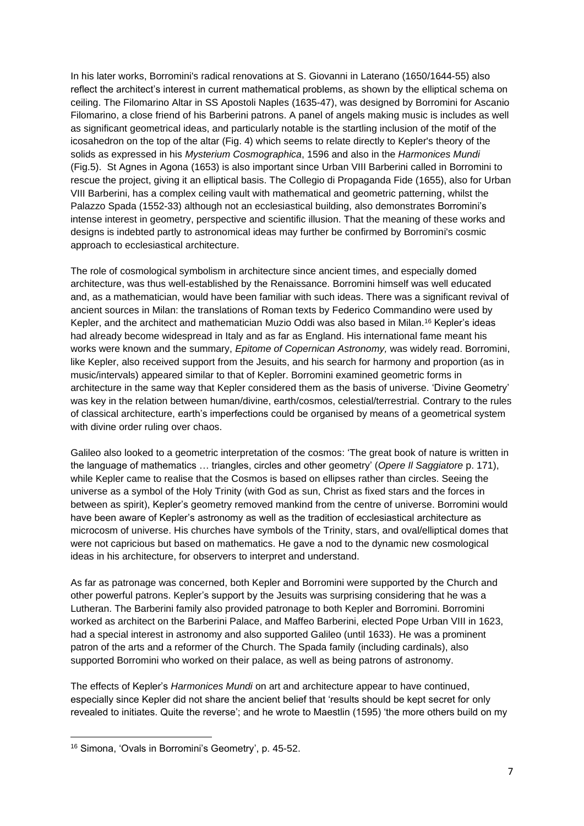In his later works, Borromini's radical renovations at S. Giovanni in Laterano (1650/1644-55) also reflect the architect's interest in current mathematical problems, as shown by the elliptical schema on ceiling. The Filomarino Altar in SS Apostoli Naples (1635-47), was designed by Borromini for Ascanio Filomarino, a close friend of his Barberini patrons. A panel of angels making music is includes as well as significant geometrical ideas, and particularly notable is the startling inclusion of the motif of the icosahedron on the top of the altar (Fig. 4) which seems to relate directly to Kepler's theory of the solids as expressed in his *Mysterium Cosmographica*, 1596 and also in the *Harmonices Mundi*  (Fig.5). St Agnes in Agona (1653) is also important since Urban VIII Barberini called in Borromini to rescue the project, giving it an elliptical basis. The Collegio di Propaganda Fide (1655), also for Urban VIII Barberini, has a complex ceiling vault with mathematical and geometric patterning, whilst the Palazzo Spada (1552-33) although not an ecclesiastical building, also demonstrates Borromini's intense interest in geometry, perspective and scientific illusion. That the meaning of these works and designs is indebted partly to astronomical ideas may further be confirmed by Borromini's cosmic approach to ecclesiastical architecture.

The role of cosmological symbolism in architecture since ancient times, and especially domed architecture, was thus well-established by the Renaissance. Borromini himself was well educated and, as a mathematician, would have been familiar with such ideas. There was a significant revival of ancient sources in Milan: the translations of Roman texts by Federico Commandino were used by Kepler, and the architect and mathematician Muzio Oddi was also based in Milan.<sup>16</sup> Kepler's ideas had already become widespread in Italy and as far as England. His international fame meant his works were known and the summary, *Epitome of Copernican Astronomy,* was widely read. Borromini, like Kepler, also received support from the Jesuits, and his search for harmony and proportion (as in music/intervals) appeared similar to that of Kepler. Borromini examined geometric forms in architecture in the same way that Kepler considered them as the basis of universe. 'Divine Geometry' was key in the relation between human/divine, earth/cosmos, celestial/terrestrial. Contrary to the rules of classical architecture, earth's imperfections could be organised by means of a geometrical system with divine order ruling over chaos.

Galileo also looked to a geometric interpretation of the cosmos: 'The great book of nature is written in the language of mathematics … triangles, circles and other geometry' (*Opere Il Saggiatore* p. 171), while Kepler came to realise that the Cosmos is based on ellipses rather than circles. Seeing the universe as a symbol of the Holy Trinity (with God as sun, Christ as fixed stars and the forces in between as spirit), Kepler's geometry removed mankind from the centre of universe. Borromini would have been aware of Kepler's astronomy as well as the tradition of ecclesiastical architecture as microcosm of universe. His churches have symbols of the Trinity, stars, and oval/elliptical domes that were not capricious but based on mathematics. He gave a nod to the dynamic new cosmological ideas in his architecture, for observers to interpret and understand.

As far as patronage was concerned, both Kepler and Borromini were supported by the Church and other powerful patrons. Kepler's support by the Jesuits was surprising considering that he was a Lutheran. The Barberini family also provided patronage to both Kepler and Borromini. Borromini worked as architect on the Barberini Palace, and Maffeo Barberini, elected Pope Urban VIII in 1623, had a special interest in astronomy and also supported Galileo (until 1633). He was a prominent patron of the arts and a reformer of the Church. The Spada family (including cardinals), also supported Borromini who worked on their palace, as well as being patrons of astronomy.

The effects of Kepler's *Harmonices Mundi* on art and architecture appear to have continued, especially since Kepler did not share the ancient belief that 'results should be kept secret for only revealed to initiates. Quite the reverse'; and he wrote to Maestlin (1595) 'the more others build on my

<sup>16</sup> Simona, 'Ovals in Borromini's Geometry', p. 45-52.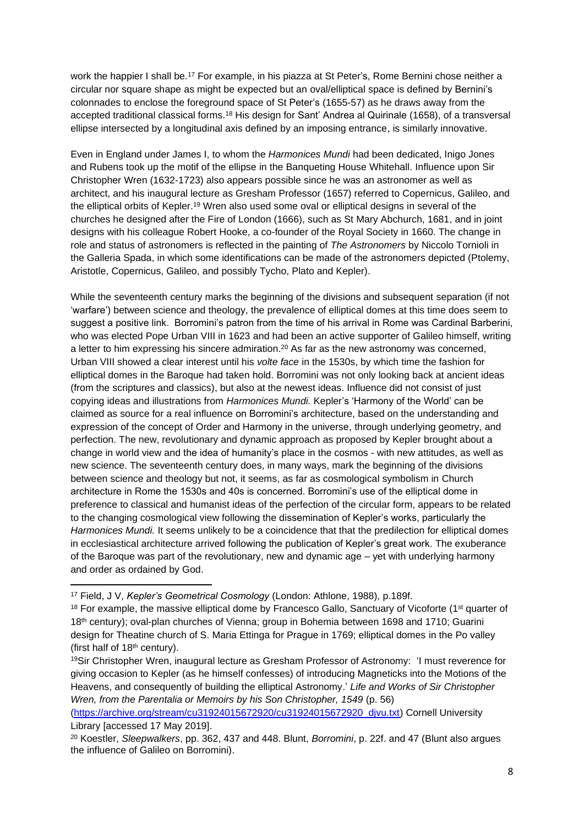work the happier I shall be.<sup>17</sup> For example, in his piazza at St Peter's, Rome Bernini chose neither a circular nor square shape as might be expected but an oval/elliptical space is defined by Bernini's colonnades to enclose the foreground space of St Peter's (1655-57) as he draws away from the accepted traditional classical forms.<sup>18</sup> His design for Sant' Andrea al Quirinale (1658), of a transversal ellipse intersected by a longitudinal axis defined by an imposing entrance, is similarly innovative.

Even in England under James I, to whom the *Harmonices Mundi* had been dedicated, Inigo Jones and Rubens took up the motif of the ellipse in the Banqueting House Whitehall. Influence upon Sir Christopher Wren (1632-1723) also appears possible since he was an astronomer as well as architect, and his inaugural lecture as Gresham Professor (1657) referred to Copernicus, Galileo, and the elliptical orbits of Kepler.<sup>19</sup> Wren also used some oval or elliptical designs in several of the churches he designed after the Fire of London (1666), such as St Mary Abchurch, 1681, and in joint designs with his colleague Robert Hooke, a co-founder of the Royal Society in 1660. The change in role and status of astronomers is reflected in the painting of *The Astronomers* by Niccolo Tornioli in the Galleria Spada, in which some identifications can be made of the astronomers depicted (Ptolemy, Aristotle, Copernicus, Galileo, and possibly Tycho, Plato and Kepler).

While the seventeenth century marks the beginning of the divisions and subsequent separation (if not 'warfare') between science and theology, the prevalence of elliptical domes at this time does seem to suggest a positive link. Borromini's patron from the time of his arrival in Rome was Cardinal Barberini, who was elected Pope Urban VIII in 1623 and had been an active supporter of Galileo himself, writing a letter to him expressing his sincere admiration.<sup>20</sup> As far as the new astronomy was concerned, Urban VIII showed a clear interest until his *volte face* in the 1530s, by which time the fashion for elliptical domes in the Baroque had taken hold. Borromini was not only looking back at ancient ideas (from the scriptures and classics), but also at the newest ideas. Influence did not consist of just copying ideas and illustrations from *Harmonices Mundi.* Kepler's 'Harmony of the World' can be claimed as source for a real influence on Borromini's architecture, based on the understanding and expression of the concept of Order and Harmony in the universe, through underlying geometry, and perfection. The new, revolutionary and dynamic approach as proposed by Kepler brought about a change in world view and the idea of humanity's place in the cosmos - with new attitudes, as well as new science. The seventeenth century does, in many ways, mark the beginning of the divisions between science and theology but not, it seems, as far as cosmological symbolism in Church architecture in Rome the 1530s and 40s is concerned. Borromini's use of the elliptical dome in preference to classical and humanist ideas of the perfection of the circular form, appears to be related to the changing cosmological view following the dissemination of Kepler's works, particularly the *Harmonices Mundi.* It seems unlikely to be a coincidence that that the predilection for elliptical domes in ecclesiastical architecture arrived following the publication of Kepler's great work. The exuberance of the Baroque was part of the revolutionary, new and dynamic age – yet with underlying harmony and order as ordained by God.

<sup>17</sup> Field, J V, *Kepler's Geometrical Cosmology* (London: Athlone, 1988), p.189f.

<sup>&</sup>lt;sup>18</sup> For example, the massive elliptical dome by Francesco Gallo, Sanctuary of Vicoforte (1<sup>st</sup> quarter of 18th century); oval-plan churches of Vienna; group in Bohemia between 1698 and 1710; Guarini design for Theatine church of S. Maria Ettinga for Prague in 1769; elliptical domes in the Po valley (first half of  $18<sup>th</sup>$  century).

<sup>19</sup>Sir Christopher Wren, inaugural lecture as Gresham Professor of Astronomy: 'I must reverence for giving occasion to Kepler (as he himself confesses) of introducing Magneticks into the Motions of the Heavens, and consequently of building the elliptical Astronomy.' *Life and Works of Sir Christopher Wren, from the Parentalia or Memoirs by his Son Christopher, 1549 (p. 56)* 

[<sup>\(</sup>https://archive.org/stream/cu31924015672920/cu31924015672920\\_djvu.txt\)](https://archive.org/stream/cu31924015672920/cu31924015672920_djvu.txt) Cornell University Library [accessed 17 May 2019].

<sup>20</sup> Koestler, *Sleepwalkers*, pp. 362, 437 and 448. Blunt, *Borromini*, p. 22f. and 47 (Blunt also argues the influence of Galileo on Borromini).